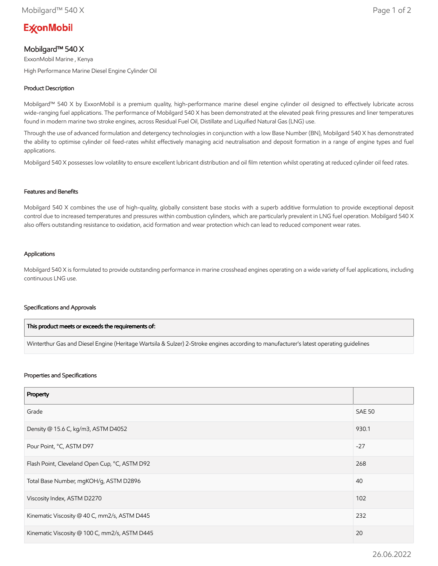# **ExconMobil**

# Mobilgard™ 540 X

ExxonMobil Marine , Kenya High Performance Marine Diesel Engine Cylinder Oil

## Product Description

Mobilgard™ 540 X by ExxonMobil is a premium quality, high-performance marine diesel engine cylinder oil designed to effectively lubricate across wide-ranging fuel applications. The performance of Mobilgard 540 X has been demonstrated at the elevated peak firing pressures and liner temperatures found in modern marine two stroke engines, across Residual Fuel Oil, Distillate and Liquified Natural Gas (LNG) use.

Through the use of advanced formulation and detergency technologies in conjunction with a low Base Number (BN), Mobilgard 540 X has demonstrated the ability to optimise cylinder oil feed-rates whilst effectively managing acid neutralisation and deposit formation in a range of engine types and fuel applications.

Mobilgard 540 X possesses low volatility to ensure excellent lubricant distribution and oil film retention whilst operating at reduced cylinder oil feed rates.

#### Features and Benefits

Mobilgard 540 X combines the use of high-quality, globally consistent base stocks with a superb additive formulation to provide exceptional deposit control due to increased temperatures and pressures within combustion cylinders, which are particularly prevalent in LNG fuel operation. Mobilgard 540 X also offers outstanding resistance to oxidation, acid formation and wear protection which can lead to reduced component wear rates.

#### Applications

Mobilgard 540 X is formulated to provide outstanding performance in marine crosshead engines operating on a wide variety of fuel applications, including continuous LNG use.

#### Specifications and Approvals

| This product meets or exceeds the requirements of:                                                                                     |  |
|----------------------------------------------------------------------------------------------------------------------------------------|--|
| Winterthur Gas and Diesel Engine (Heritage Wartsila & Sulzer) 2-Stroke engines according to manufacturer's latest operating quidelines |  |

#### Properties and Specifications

| Property                                      |               |
|-----------------------------------------------|---------------|
| Grade                                         | <b>SAE 50</b> |
| Density @ 15.6 C, kg/m3, ASTM D4052           | 930.1         |
| Pour Point, °C, ASTM D97                      | $-27$         |
| Flash Point, Cleveland Open Cup, °C, ASTM D92 | 268           |
| Total Base Number, mgKOH/g, ASTM D2896        | 40            |
| Viscosity Index, ASTM D2270                   | 102           |
| Kinematic Viscosity @ 40 C, mm2/s, ASTM D445  | 232           |
| Kinematic Viscosity @ 100 C, mm2/s, ASTM D445 | 20            |